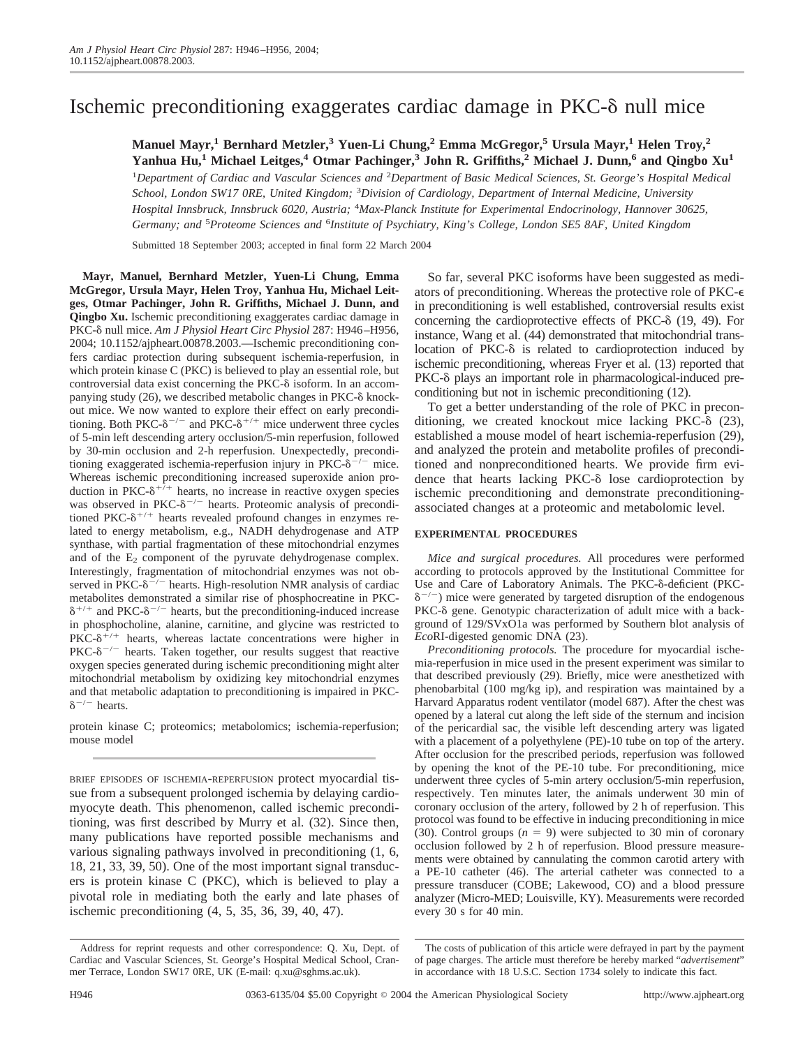# Ischemic preconditioning exaggerates cardiac damage in PKC- $\delta$  null mice

**Manuel Mayr,1 Bernhard Metzler,3 Yuen-Li Chung,2 Emma McGregor,5 Ursula Mayr,1 Helen Troy,2 Yanhua Hu,1 Michael Leitges,4 Otmar Pachinger,3 John R. Griffiths,2 Michael J. Dunn,6 and Qingbo Xu1**

<sup>1</sup>Department of Cardiac and Vascular Sciences and <sup>2</sup>Department of Basic Medical Sciences, St. George's Hospital Medical *School, London SW17 0RE, United Kingdom;* <sup>3</sup> *Division of Cardiology, Department of Internal Medicine, University Hospital Innsbruck, Innsbruck 6020, Austria;* <sup>4</sup> *Max-Planck Institute for Experimental Endocrinology, Hannover 30625,* Germany; and <sup>5</sup>Proteome Sciences and <sup>6</sup>Institute of Psychiatry, King's College, London SE5 8AF, United Kingdom

Submitted 18 September 2003; accepted in final form 22 March 2004

**Mayr, Manuel, Bernhard Metzler, Yuen-Li Chung, Emma McGregor, Ursula Mayr, Helen Troy, Yanhua Hu, Michael Leitges, Otmar Pachinger, John R. Griffiths, Michael J. Dunn, and Qingbo Xu.** Ischemic preconditioning exaggerates cardiac damage in PKC-8 null mice. Am J Physiol Heart Circ Physiol 287: H946-H956, 2004; 10.1152/ajpheart.00878.2003.—Ischemic preconditioning confers cardiac protection during subsequent ischemia-reperfusion, in which protein kinase C (PKC) is believed to play an essential role, but controversial data exist concerning the PKC- $\delta$  isoform. In an accompanying study  $(26)$ , we described metabolic changes in PKC- $\delta$  knockout mice. We now wanted to explore their effect on early preconditioning. Both PKC- $\delta^{-/-}$  and PKC- $\delta^{+/+}$  mice underwent three cycles of 5-min left descending artery occlusion/5-min reperfusion, followed by 30-min occlusion and 2-h reperfusion. Unexpectedly, preconditioning exaggerated ischemia-reperfusion injury in PKC- $\delta^{-/-}$  mice. Whereas ischemic preconditioning increased superoxide anion production in PKC- $\delta^{+/+}$  hearts, no increase in reactive oxygen species was observed in PKC- $\delta^{-/-}$  hearts. Proteomic analysis of preconditioned PKC- $\delta^{+/+}$  hearts revealed profound changes in enzymes related to energy metabolism, e.g., NADH dehydrogenase and ATP synthase, with partial fragmentation of these mitochondrial enzymes and of the  $E_2$  component of the pyruvate dehydrogenase complex. Interestingly, fragmentation of mitochondrial enzymes was not observed in  $PKC-\delta^{-/-}$  hearts. High-resolution NMR analysis of cardiac metabolites demonstrated a similar rise of phosphocreatine in PKC-  $\delta^{+/+}$  and PKC- $\delta^{-/-}$  hearts, but the preconditioning-induced increase in phosphocholine, alanine, carnitine, and glycine was restricted to  $PKC- $\delta^{+/+}$  hearts, whereas lactate concentrations were higher in$ PKC- $\delta^{-/-}$  hearts. Taken together, our results suggest that reactive oxygen species generated during ischemic preconditioning might alter mitochondrial metabolism by oxidizing key mitochondrial enzymes and that metabolic adaptation to preconditioning is impaired in PKC-  $\delta^{-/-}$  hearts.

protein kinase C; proteomics; metabolomics; ischemia-reperfusion; mouse model

BRIEF EPISODES OF ISCHEMIA-REPERFUSION protect myocardial tissue from a subsequent prolonged ischemia by delaying cardiomyocyte death. This phenomenon, called ischemic preconditioning, was first described by Murry et al. (32). Since then, many publications have reported possible mechanisms and various signaling pathways involved in preconditioning (1, 6, 18, 21, 33, 39, 50). One of the most important signal transducers is protein kinase C (PKC), which is believed to play a pivotal role in mediating both the early and late phases of ischemic preconditioning (4, 5, 35, 36, 39, 40, 47).

So far, several PKC isoforms have been suggested as mediators of preconditioning. Whereas the protective role of PKC in preconditioning is well established, controversial results exist concerning the cardioprotective effects of PKC- $\delta$  (19, 49). For instance, Wang et al. (44) demonstrated that mitochondrial translocation of PKC- $\delta$  is related to cardioprotection induced by ischemic preconditioning, whereas Fryer et al. (13) reported that PKC- $\delta$  plays an important role in pharmacological-induced preconditioning but not in ischemic preconditioning (12).

To get a better understanding of the role of PKC in preconditioning, we created knockout mice lacking  $PKC-\delta$  (23), established a mouse model of heart ischemia-reperfusion (29), and analyzed the protein and metabolite profiles of preconditioned and nonpreconditioned hearts. We provide firm evidence that hearts lacking  $PKC-\delta$  lose cardioprotection by ischemic preconditioning and demonstrate preconditioningassociated changes at a proteomic and metabolomic level.

#### **EXPERIMENTAL PROCEDURES**

*Mice and surgical procedures.* All procedures were performed according to protocols approved by the Institutional Committee for Use and Care of Laboratory Animals. The PKC- $\delta$ -deficient (PKC- $\delta^{-/-}$ ) mice were generated by targeted disruption of the endogenous PKC-8 gene. Genotypic characterization of adult mice with a background of 129/SVxO1a was performed by Southern blot analysis of *Eco*RI-digested genomic DNA (23).

*Preconditioning protocols.* The procedure for myocardial ischemia-reperfusion in mice used in the present experiment was similar to that described previously (29). Briefly, mice were anesthetized with phenobarbital (100 mg/kg ip), and respiration was maintained by a Harvard Apparatus rodent ventilator (model 687). After the chest was opened by a lateral cut along the left side of the sternum and incision of the pericardial sac, the visible left descending artery was ligated with a placement of a polyethylene (PE)-10 tube on top of the artery. After occlusion for the prescribed periods, reperfusion was followed by opening the knot of the PE-10 tube. For preconditioning, mice underwent three cycles of 5-min artery occlusion/5-min reperfusion, respectively. Ten minutes later, the animals underwent 30 min of coronary occlusion of the artery, followed by 2 h of reperfusion. This protocol was found to be effective in inducing preconditioning in mice (30). Control groups  $(n = 9)$  were subjected to 30 min of coronary occlusion followed by 2 h of reperfusion. Blood pressure measurements were obtained by cannulating the common carotid artery with a PE-10 catheter (46). The arterial catheter was connected to a pressure transducer (COBE; Lakewood, CO) and a blood pressure analyzer (Micro-MED; Louisville, KY). Measurements were recorded every 30 s for 40 min.

Address for reprint requests and other correspondence: Q. Xu, Dept. of Cardiac and Vascular Sciences, St. George's Hospital Medical School, Cranmer Terrace, London SW17 0RE, UK (E-mail: q.xu@sghms.ac.uk).

The costs of publication of this article were defrayed in part by the payment of page charges. The article must therefore be hereby marked "*advertisement*" in accordance with 18 U.S.C. Section 1734 solely to indicate this fact.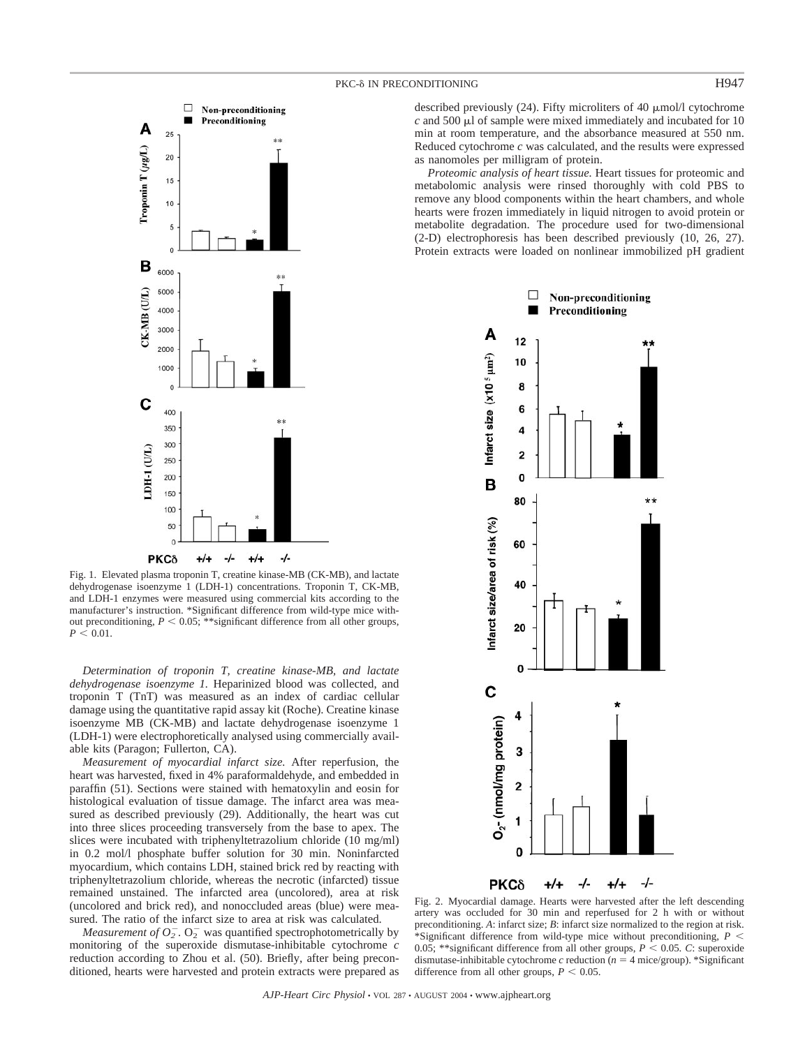

Fig. 1. Elevated plasma troponin T, creatine kinase-MB (CK-MB), and lactate dehydrogenase isoenzyme 1 (LDH-1) concentrations. Troponin T, CK-MB, and LDH-1 enzymes were measured using commercial kits according to the manufacturer's instruction. \*Significant difference from wild-type mice without preconditioning,  $P < 0.05$ ; \*\*significant difference from all other groups,  $P < 0.01$ .

*Determination of troponin T, creatine kinase-MB, and lactate dehydrogenase isoenzyme 1.* Heparinized blood was collected, and troponin T (TnT) was measured as an index of cardiac cellular damage using the quantitative rapid assay kit (Roche). Creatine kinase isoenzyme MB (CK-MB) and lactate dehydrogenase isoenzyme 1 (LDH-1) were electrophoretically analysed using commercially available kits (Paragon; Fullerton, CA).

*Measurement of myocardial infarct size.* After reperfusion, the heart was harvested, fixed in 4% paraformaldehyde, and embedded in paraffin (51). Sections were stained with hematoxylin and eosin for histological evaluation of tissue damage. The infarct area was measured as described previously (29). Additionally, the heart was cut into three slices proceeding transversely from the base to apex. The slices were incubated with triphenyltetrazolium chloride (10 mg/ml) in 0.2 mol/l phosphate buffer solution for 30 min. Noninfarcted myocardium, which contains LDH, stained brick red by reacting with triphenyltetrazolium chloride, whereas the necrotic (infarcted) tissue remained unstained. The infarcted area (uncolored), area at risk (uncolored and brick red), and nonoccluded areas (blue) were measured. The ratio of the infarct size to area at risk was calculated.

*Measurement of*  $O_2^-$ .  $O_2^-$  was quantified spectrophotometrically by monitoring of the superoxide dismutase-inhibitable cytochrome *c* reduction according to Zhou et al. (50). Briefly, after being preconditioned, hearts were harvested and protein extracts were prepared as

# PKC-8 IN PRECONDITIONING H947

described previously  $(24)$ . Fifty microliters of 40  $\mu$ mol/l cytochrome

 $c$  and 500  $\mu$ l of sample were mixed immediately and incubated for 10 min at room temperature, and the absorbance measured at 550 nm. Reduced cytochrome *c* was calculated, and the results were expressed as nanomoles per milligram of protein.

*Proteomic analysis of heart tissue.* Heart tissues for proteomic and metabolomic analysis were rinsed thoroughly with cold PBS to remove any blood components within the heart chambers, and whole hearts were frozen immediately in liquid nitrogen to avoid protein or metabolite degradation. The procedure used for two-dimensional (2-D) electrophoresis has been described previously (10, 26, 27). Protein extracts were loaded on nonlinear immobilized pH gradient



Fig. 2. Myocardial damage. Hearts were harvested after the left descending artery was occluded for 30 min and reperfused for 2 h with or without preconditioning. *A*: infarct size; *B*: infarct size normalized to the region at risk. \*Significant difference from wild-type mice without preconditioning, *P* 0.05; \*\*significant difference from all other groups,  $P < 0.05$ . *C*: superoxide dismutase-inhibitable cytochrome  $c$  reduction ( $n = 4$  mice/group). \*Significant difference from all other groups,  $P < 0.05$ .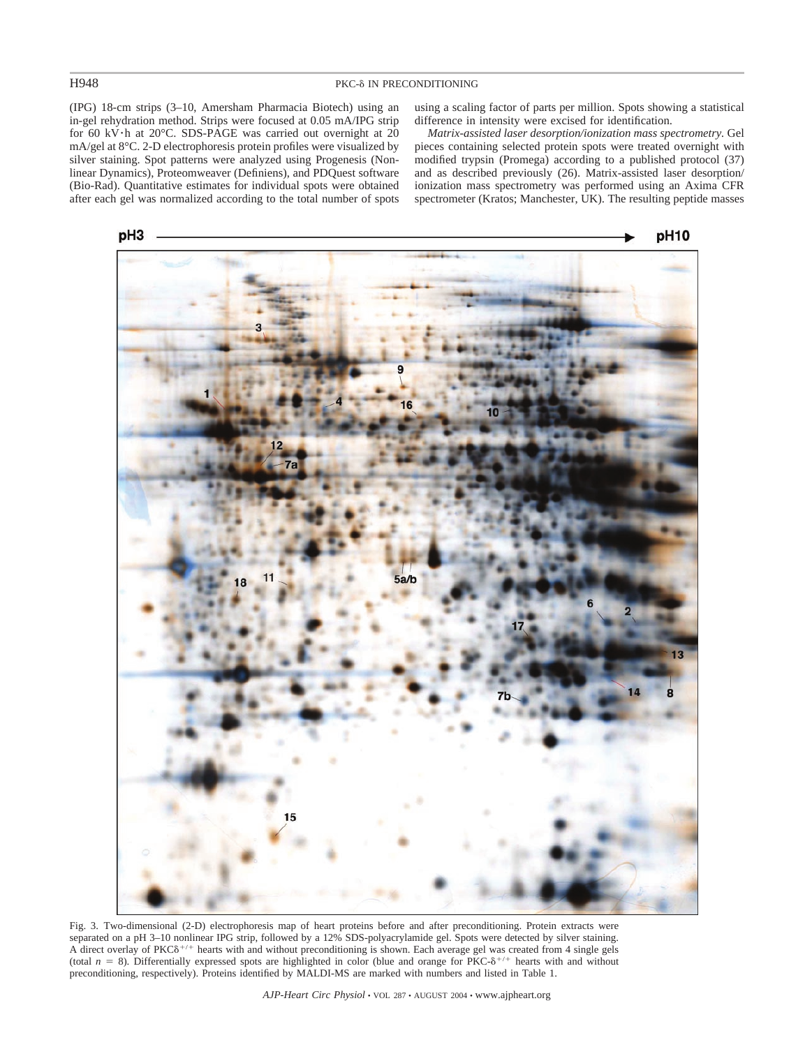# H948 PKC-8 IN PRECONDITIONING

(IPG) 18-cm strips (3–10, Amersham Pharmacia Biotech) using an in-gel rehydration method. Strips were focused at 0.05 mA/IPG strip for 60 kV $\cdot$ h at 20°C. SDS-PAGE was carried out overnight at 20 mA/gel at 8°C. 2-D electrophoresis protein profiles were visualized by silver staining. Spot patterns were analyzed using Progenesis (Nonlinear Dynamics), Proteomweaver (Definiens), and PDQuest software (Bio-Rad). Quantitative estimates for individual spots were obtained after each gel was normalized according to the total number of spots using a scaling factor of parts per million. Spots showing a statistical difference in intensity were excised for identification.

*Matrix-assisted laser desorption/ionization mass spectrometry.* Gel pieces containing selected protein spots were treated overnight with modified trypsin (Promega) according to a published protocol (37) and as described previously (26). Matrix-assisted laser desorption/ ionization mass spectrometry was performed using an Axima CFR spectrometer (Kratos; Manchester, UK). The resulting peptide masses



Fig. 3. Two-dimensional (2-D) electrophoresis map of heart proteins before and after preconditioning. Protein extracts were separated on a pH 3–10 nonlinear IPG strip, followed by a 12% SDS-polyacrylamide gel. Spots were detected by silver staining. A direct overlay of PKC $\delta^{+/-}$  hearts with and without preconditioning is shown. Each average gel was created from 4 single gels (total  $n = 8$ ). Differentially expressed spots are highlighted in color (blue and orange for PKC- $\delta^{+/+}$  hearts with and without preconditioning, respectively). Proteins identified by MALDI-MS are marked with numbers and listed in Table 1.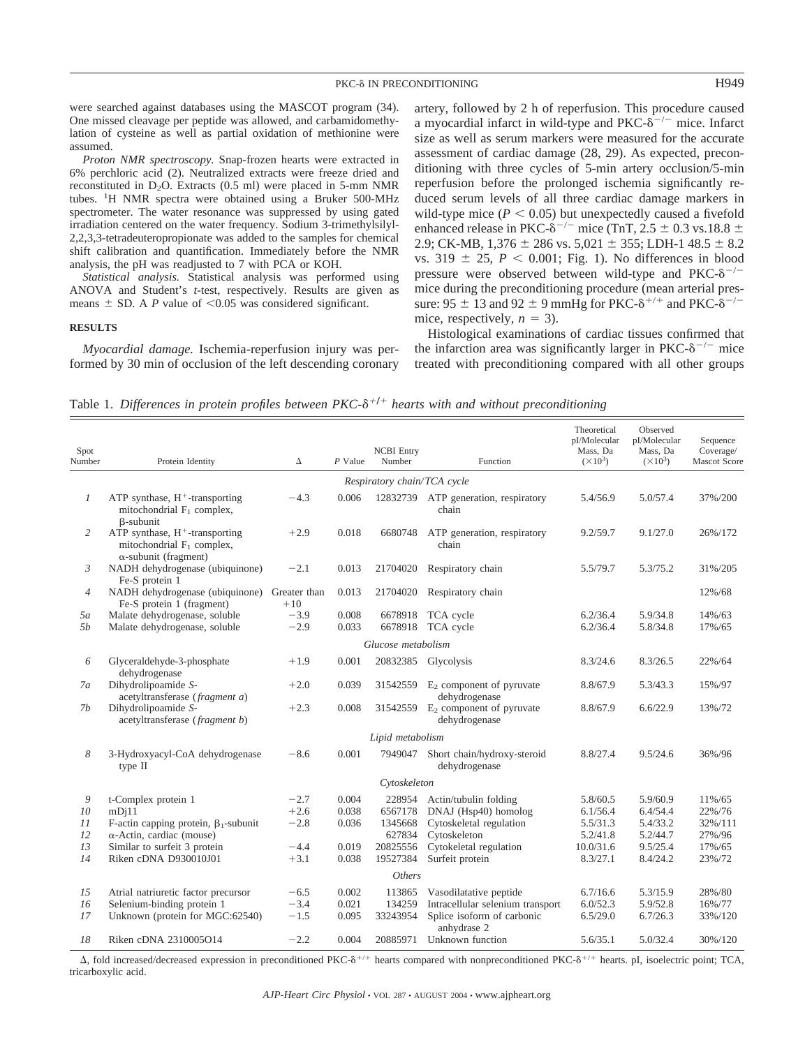# PKC-8 IN PRECONDITIONING H949

were searched against databases using the MASCOT program (34). One missed cleavage per peptide was allowed, and carbamidomethylation of cysteine as well as partial oxidation of methionine were assumed.

*Proton NMR spectroscopy.* Snap-frozen hearts were extracted in 6% perchloric acid (2). Neutralized extracts were freeze dried and reconstituted in  $D_2O$ . Extracts (0.5 ml) were placed in 5-mm NMR tubes. <sup>1</sup> H NMR spectra were obtained using a Bruker 500-MHz spectrometer. The water resonance was suppressed by using gated irradiation centered on the water frequency. Sodium 3-trimethylsilyl-2,2,3,3-tetradeuteropropionate was added to the samples for chemical shift calibration and quantification. Immediately before the NMR analysis, the pH was readjusted to 7 with PCA or KOH.

*Statistical analysis.* Statistical analysis was performed using ANOVA and Student's *t*-test, respectively. Results are given as means  $\pm$  SD. A *P* value of <0.05 was considered significant.

#### **RESULTS**

*Myocardial damage.* Ischemia-reperfusion injury was performed by 30 min of occlusion of the left descending coronary

artery, followed by 2 h of reperfusion. This procedure caused a myocardial infarct in wild-type and PKC- $\delta^{-/-}$  mice. Infarct size as well as serum markers were measured for the accurate assessment of cardiac damage (28, 29). As expected, preconditioning with three cycles of 5-min artery occlusion/5-min reperfusion before the prolonged ischemia significantly reduced serum levels of all three cardiac damage markers in wild-type mice  $(P < 0.05)$  but unexpectedly caused a fivefold enhanced release in PKC- $\delta^{-/-}$  mice (TnT, 2.5  $\pm$  0.3 vs.18.8  $\pm$ 2.9; CK-MB,  $1,376 \pm 286$  vs.  $5,021 \pm 355$ ; LDH-1 48.5  $\pm$  8.2 vs. 319  $\pm$  25,  $P < 0.001$ ; Fig. 1). No differences in blood pressure were observed between wild-type and PKC- $\delta^{-/-}$ mice during the preconditioning procedure (mean arterial pressure: 95  $\pm$  13 and 92  $\pm$  9 mmHg for PKC- $\delta^{+/+}$  and PKC- $\delta^{-/-}$ mice, respectively,  $n = 3$ ).

Histological examinations of cardiac tissues confirmed that the infarction area was significantly larger in PKC- $\delta^{-/-}$  mice treated with preconditioning compared with all other groups

Table 1. *Differences in protein profiles between PKC-* $\delta^{+/+}$  *hearts with and without preconditioning* 

| Spot<br>Number | Protein Identity                                                                                  | Δ                     | $P$ Value      | <b>NCBI</b> Entry<br>Number | Function                                              | Theoretical<br>pI/Molecular<br>Mass, Da<br>$(\times 10^3)$ | Observed<br>pI/Molecular<br>Mass, Da<br>$(\times 10^3)$ | Sequence<br>Coverage/<br><b>Mascot Score</b> |
|----------------|---------------------------------------------------------------------------------------------------|-----------------------|----------------|-----------------------------|-------------------------------------------------------|------------------------------------------------------------|---------------------------------------------------------|----------------------------------------------|
|                |                                                                                                   |                       |                | Respiratory chain/TCA cycle |                                                       |                                                            |                                                         |                                              |
| 1              | ATP synthase, $H^+$ -transporting<br>mitochondrial $F_1$ complex,<br>$\beta$ -subunit             | $-4.3$                | 0.006          |                             | 12832739 ATP generation, respiratory<br>chain         | 5.4/56.9                                                   | 5.0/57.4                                                | 37%/200                                      |
| 2              | ATP synthase, $H^+$ -transporting<br>mitochondrial $F_1$ complex,<br>$\alpha$ -subunit (fragment) | $+2.9$                | 0.018          | 6680748                     | ATP generation, respiratory<br>chain                  | 9.2/59.7                                                   | 9.1/27.0                                                | 26%/172                                      |
| 3              | NADH dehydrogenase (ubiquinone)<br>Fe-S protein 1                                                 | $-2.1$                | 0.013          | 21704020                    | Respiratory chain                                     | 5.5/79.7                                                   | 5.3/75.2                                                | 31%/205                                      |
| $\overline{4}$ | NADH dehydrogenase (ubiquinone)<br>Fe-S protein 1 (fragment)                                      | Greater than<br>$+10$ | 0.013          | 21704020                    | Respiratory chain                                     |                                                            |                                                         | 12%/68                                       |
| 5a             | Malate dehydrogenase, soluble                                                                     | $-3.9$                | 0.008          | 6678918                     | TCA cycle                                             | 6.2/36.4                                                   | 5.9/34.8                                                | 14%/63                                       |
| 5b             | Malate dehydrogenase, soluble                                                                     | $-2.9$                | 0.033          | 6678918                     | TCA cycle                                             | 6.2/36.4                                                   | 5.8/34.8                                                | 17%/65                                       |
|                |                                                                                                   |                       |                | Glucose metabolism          |                                                       |                                                            |                                                         |                                              |
| 6              | Glyceraldehyde-3-phosphate<br>dehydrogenase                                                       | $+1.9$                | 0.001          |                             | 20832385 Glycolysis                                   | 8.3/24.6                                                   | 8.3/26.5                                                | 22%/64                                       |
| 7a             | Dihydrolipoamide S-<br>acetyltransferase (fragment a)                                             | $+2.0$                | 0.039          | 31542559                    | $E_2$ component of pyruvate<br>dehydrogenase          | 8.8/67.9                                                   | 5.3/43.3                                                | 15%/97                                       |
| 7b             | Dihydrolipoamide S-<br>acetyltransferase (fragment b)                                             | $+2.3$                | 0.008          |                             | 31542559 $E_2$ component of pyruvate<br>dehydrogenase | 8.8/67.9                                                   | 6.6/22.9                                                | 13%/72                                       |
|                |                                                                                                   |                       |                | Lipid metabolism            |                                                       |                                                            |                                                         |                                              |
| 8              | 3-Hydroxyacyl-CoA dehydrogenase<br>type II                                                        | $-8.6$                | 0.001          | 7949047                     | Short chain/hydroxy-steroid<br>dehydrogenase          | 8.8/27.4                                                   | 9.5/24.6                                                | 36%/96                                       |
|                |                                                                                                   |                       |                | Cytoskeleton                |                                                       |                                                            |                                                         |                                              |
| 9<br>10        | t-Complex protein 1<br>mDi11                                                                      | $-2.7$<br>$+2.6$      | 0.004<br>0.038 | 228954<br>6567178           | Actin/tubulin folding<br>DNAJ (Hsp40) homolog         | 5.8/60.5<br>6.1/56.4                                       | 5.9/60.9<br>6.4/54.4                                    | 11%/65<br>22%/76                             |
| 11             | F-actin capping protein, $\beta_1$ -subunit                                                       | $-2.8$                | 0.036          | 1345668                     | Cytoskeletal regulation                               | 5.5/31.3                                                   | 5.4/33.2                                                | 32%/111                                      |
| 12<br>13       | $\alpha$ -Actin, cardiac (mouse)<br>Similar to surfeit 3 protein                                  | $-4.4$                | 0.019          | 627834<br>20825556          | Cytoskeleton<br>Cytokeletal regulation                | 5.2/41.8<br>10.0/31.6                                      | 5.2/44.7<br>9.5/25.4                                    | 27%/96<br>17%/65                             |
| 14             | Riken cDNA D930010J01                                                                             | $+3.1$                | 0.038          | 19527384                    | Surfeit protein                                       | 8.3/27.1                                                   | 8.4/24.2                                                | 23%/72                                       |
|                |                                                                                                   |                       |                |                             |                                                       |                                                            |                                                         |                                              |
|                |                                                                                                   |                       |                | <b>Others</b>               |                                                       |                                                            |                                                         |                                              |
| 15             | Atrial natriuretic factor precursor                                                               | $-6.5$                | 0.002          | 113865                      | Vasodilatative peptide                                | 6.7/16.6                                                   | 5.3/15.9                                                | 28%/80                                       |
| 16             | Selenium-binding protein 1                                                                        | $-3.4$                | 0.021          | 134259                      | Intracellular selenium transport                      | 6.0/52.3                                                   | 5.9/52.8                                                | 16%/77                                       |
| 17             | Unknown (protein for MGC:62540)                                                                   | $-1.5$                | 0.095          | 33243954                    | Splice isoform of carbonic<br>anhydrase 2             | 6.5/29.0                                                   | 6.7/26.3                                                | 33%/120                                      |
| 18             | Riken cDNA 2310005O14                                                                             | $-2.2$                | 0.004          | 20885971                    | Unknown function                                      | 5.6/35.1                                                   | 5.0/32.4                                                | 30%/120                                      |

 $\Delta$ , fold increased/decreased expression in preconditioned PKC- $\delta^{+/+}$  hearts compared with nonpreconditioned PKC- $\delta^{+/+}$  hearts. pI, isoelectric point; TCA, tricarboxylic acid.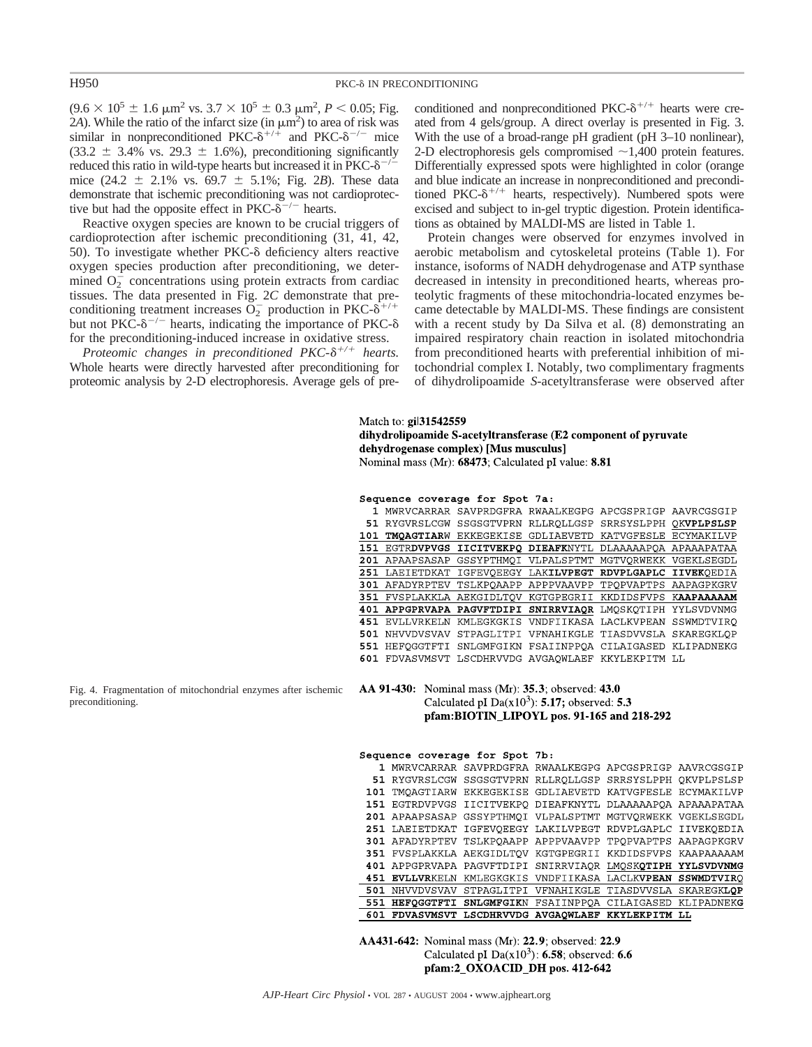$(9.6 \times 10^5 \pm 1.6 \text{ }\mu\text{m}^2 \text{ vs. } 3.7 \times 10^5 \pm 0.3 \text{ }\mu\text{m}^2, P < 0.05; \text{Fig.}$ 2A). While the ratio of the infarct size (in  $\mu$ m<sup>2</sup>) to area of risk was similar in nonpreconditioned PKC- $\delta^{+/+}$  and PKC- $\delta^{-/-}$  mice  $(33.2 \pm 3.4\% \text{ vs. } 29.3 \pm 1.6\%)$ , preconditioning significantly reduced this ratio in wild-type hearts but increased it in  $PKC-\delta^{-/-}$ mice  $(24.2 \pm 2.1\% \text{ vs. } 69.7 \pm 5.1\%; \text{ Fig. 2B})$ . These data demonstrate that ischemic preconditioning was not cardioprotective but had the opposite effect in PKC- $\delta^{-/-}$  hearts.

Reactive oxygen species are known to be crucial triggers of cardioprotection after ischemic preconditioning (31, 41, 42, 50). To investigate whether PKC- $\delta$  deficiency alters reactive oxygen species production after preconditioning, we determined  $O_2$ <sup>-</sup> concentrations using protein extracts from cardiac tissues. The data presented in Fig. 2*C* demonstrate that preconditioning treatment increases  $\overline{O}_2^-$  production in PKC- $\delta^{+/+}$ but not PKC- $\delta^{-/-}$  hearts, indicating the importance of PKC- $\delta$ for the preconditioning-induced increase in oxidative stress.

*Proteomic changes in preconditioned PKC-* $\delta^{+/+}$  *hearts.* Whole hearts were directly harvested after preconditioning for proteomic analysis by 2-D electrophoresis. Average gels of preconditioned and nonpreconditioned  $PKC-<sup>+</sup>$  hearts were created from 4 gels/group. A direct overlay is presented in Fig. 3. With the use of a broad-range pH gradient (pH 3–10 nonlinear), 2-D electrophoresis gels compromised  $\sim$  1.400 protein features. Differentially expressed spots were highlighted in color (orange and blue indicate an increase in nonpreconditioned and preconditioned PKC- $\delta^{+/+}$  hearts, respectively). Numbered spots were excised and subject to in-gel tryptic digestion. Protein identifications as obtained by MALDI-MS are listed in Table 1.

Protein changes were observed for enzymes involved in aerobic metabolism and cytoskeletal proteins (Table 1). For instance, isoforms of NADH dehydrogenase and ATP synthase decreased in intensity in preconditioned hearts, whereas proteolytic fragments of these mitochondria-located enzymes became detectable by MALDI-MS. These findings are consistent with a recent study by Da Silva et al. (8) demonstrating an impaired respiratory chain reaction in isolated mitochondria from preconditioned hearts with preferential inhibition of mitochondrial complex I. Notably, two complimentary fragments of dihydrolipoamide *S*-acetyltransferase were observed after

# Match to: gil 31542559 dihydrolipoamide S-acetyltransferase (E2 component of pyruvate dehydrogenase complex) [Mus musculus] Nominal mass (Mr): 68473; Calculated pI value: 8.81

#### Sequence coverage for Spot 7a:

|     | MWRVCARRAR        |                                                |            | SAVPRDGFRA RWAALKEGPG APCGSPRIGP AAVRCGSGIP |            |
|-----|-------------------|------------------------------------------------|------------|---------------------------------------------|------------|
| 51. | RYGVRSLCGW        |                                                |            | SSGSGTVPRN RLLROLLGSP SRRSYSLPPH            | OKVPLPSLSP |
| 101 | TMOAGTIARW        | EKKEGEKISE                                     | GDLIAEVETD | KATVGFESLE                                  | ECYMAKILVP |
| 151 |                   | EGTRDVPVGS IICITVEKPO DIEAFKNYTL               |            | DLAAAAAPOA APAAAPATAA                       |            |
|     | 201 APAAPSASAP    | GSSYPTHMOI                                     |            | VLPALSPTMT MGTVORWEKK VGEKLSEGDL            |            |
| 251 | LAEIETDKAT        |                                                |            | IGFEVOEEGY LAKILVPEGT RDVPLGAPLC IIVEKOEDIA |            |
| 301 | AFADYRPTEV        | TSLKPOAAPP                                     |            | APPPVAAVPP TPOPVAPTPS AAPAGPKGRV            |            |
| 351 |                   | FVSPLAKKLA AEKGIDLTOV                          |            | KGTGPEGRII KKDIDSFVPS KAAPAAAAAM            |            |
| 401 | <b>APPGPRVAPA</b> | PAGVFTDIPI                                     |            | SNIRRVIAOR LMOSKOTIPH YYLSVDVNMG            |            |
| 451 | EVLLVRKELN        |                                                |            | KMLEGKGKIS VNDFIIKASA LACLKVPEAN            | SSWMDTVIRO |
| 501 | NHVVDVSVAV        | STPAGLITPI                                     |            | VFNAHIKGLE TIASDVVSLA                       | SKAREGKLOP |
| 551 | HEFOGGTFTI        |                                                |            | SNLGMFGIKN FSAIINPPOA CILAIGASED KLIPADNEKG |            |
| 601 |                   | FDVASVMSVT LSCDHRVVDG AVGAOWLAEF KKYLEKPITM LL |            |                                             |            |

Fig. 4. Fragmentation of mitochondrial enzymes after ischemic preconditioning.

AA 91-430: Nominal mass (Mr): 35.3; observed: 43.0 Calculated pI  $Da(x10^3)$ : 5.17; observed: 5.3 pfam:BIOTIN\_LIPOYL pos. 91-165 and 218-292

#### Sequence coverage for Spot 7b:

|     | 601 FDVASVMSVT LSCDHRVVDG AVGAQWLAEF KKYLEKPITM LL         |                                                        |  |  |
|-----|------------------------------------------------------------|--------------------------------------------------------|--|--|
|     | 551 HEFQGGTFTI SNLGMFGIKN FSAIINPPOA CILAIGASED KLIPADNEKG |                                                        |  |  |
|     | 501 NHVVDVSVAV STPAGLITPI VFNAHIKGLE TIASDVVSLA SKAREGKLOP |                                                        |  |  |
|     | 451 EVLLVRKELN KMLEGKGKIS VNDFIIKASA LACLKVPEAN SSWMDTVIRO |                                                        |  |  |
|     | 401 APPGPRVAPA PAGVFTDIPI SNIRRVIAOR LMOSKOTIPH YYLSVDVNMG |                                                        |  |  |
|     | 351 FVSPLAKKLA AEKGIDLTOV KGTGPEGRII KKDIDSFVPS KAAPAAAAAM |                                                        |  |  |
|     | 301 AFADYRPTEV TSLKPOAAPP APPPVAAVPP TPOPVAPTPS AAPAGPKGRV |                                                        |  |  |
|     | 251 LAEIETDKAT IGFEVOEEGY LAKILVPEGT RDVPLGAPLC IIVEKOEDIA |                                                        |  |  |
|     | 201 APAAPSASAP GSSYPTHMQI VLPALSPTMT MGTVQRWEKK VGEKLSEGDL |                                                        |  |  |
|     | 151 EGTRDVPVGS IICITVEKPO DIEAFKNYTL DLAAAAAPOA APAAAPATAA |                                                        |  |  |
| 101 |                                                            | TMOAGTIARW EKKEGEKISE GDLIAEVETD KATVGFESLE ECYMAKILVP |  |  |
|     | 51 RYGVRSLCGW SSGSGTVPRN RLLRQLLGSP SRRSYSLPPH OKVPLPSLSP  |                                                        |  |  |
|     | 1 MWRVCARRAR SAVPRDGFRA RWAALKEGPG APCGSPRIGP AAVRCGSGIP   |                                                        |  |  |
|     |                                                            |                                                        |  |  |

AA431-642: Nominal mass (Mr): 22.9; observed: 22.9 Calculated pI Da( $x10<sup>3</sup>$ ): 6.58; observed: 6.6 pfam:2\_OXOACID\_DH pos. 412-642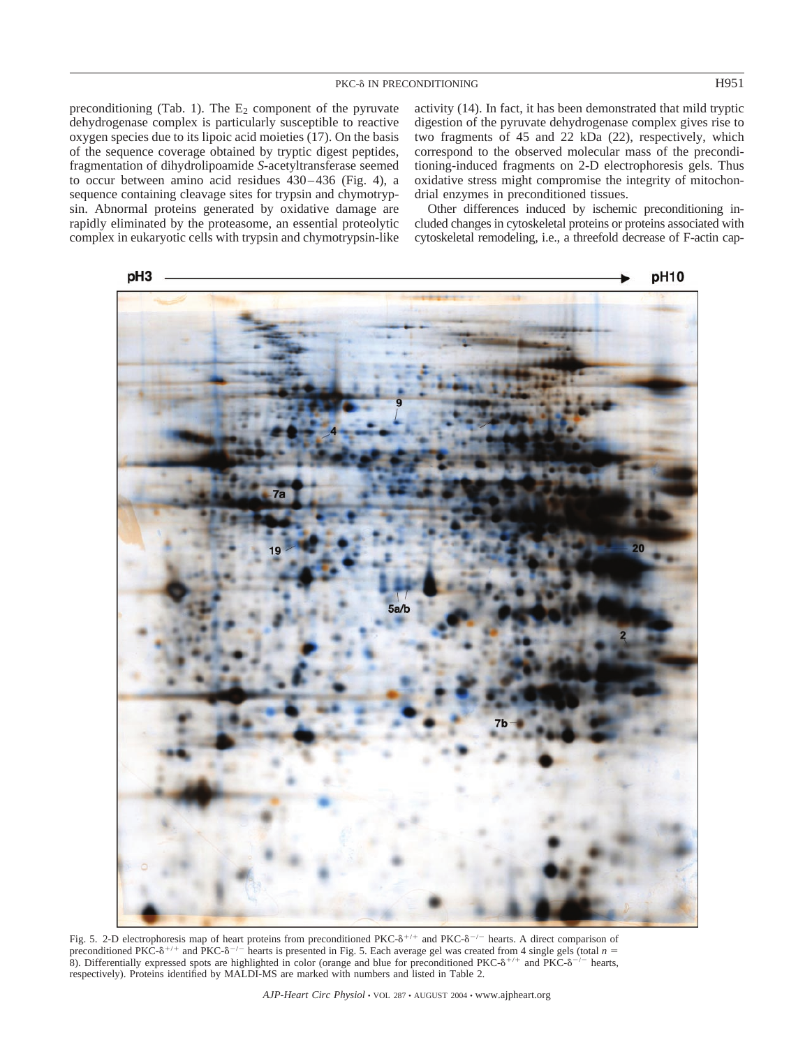preconditioning (Tab. 1). The  $E_2$  component of the pyruvate dehydrogenase complex is particularly susceptible to reactive oxygen species due to its lipoic acid moieties (17). On the basis of the sequence coverage obtained by tryptic digest peptides, fragmentation of dihydrolipoamide *S*-acetyltransferase seemed to occur between amino acid residues 430–436 (Fig. 4), a sequence containing cleavage sites for trypsin and chymotrypsin. Abnormal proteins generated by oxidative damage are rapidly eliminated by the proteasome, an essential proteolytic complex in eukaryotic cells with trypsin and chymotrypsin-like activity (14). In fact, it has been demonstrated that mild tryptic digestion of the pyruvate dehydrogenase complex gives rise to two fragments of 45 and 22 kDa (22), respectively, which correspond to the observed molecular mass of the preconditioning-induced fragments on 2-D electrophoresis gels. Thus oxidative stress might compromise the integrity of mitochondrial enzymes in preconditioned tissues.

Other differences induced by ischemic preconditioning included changes in cytoskeletal proteins or proteins associated with cytoskeletal remodeling, i.e., a threefold decrease of F-actin cap-



Fig. 5. 2-D electrophoresis map of heart proteins from preconditioned PKC- $\delta^{+/+}$  and PKC- $\delta^{-/-}$  hearts. A direct comparison of preconditioned PKC- $\delta^{+/+}$  and PKC- $\delta^{-/-}$  hearts is presented in Fig. 5. Each average gel was created from 4 single gels (total *n* = 8). Differentially expressed spots are highlighted in color (orange and blue for preconditioned PKC- $\delta^{+/+}$  and PKC- $\delta^{-/-}$  hearts, respectively). Proteins identified by MALDI-MS are marked with numbers and listed in Table 2.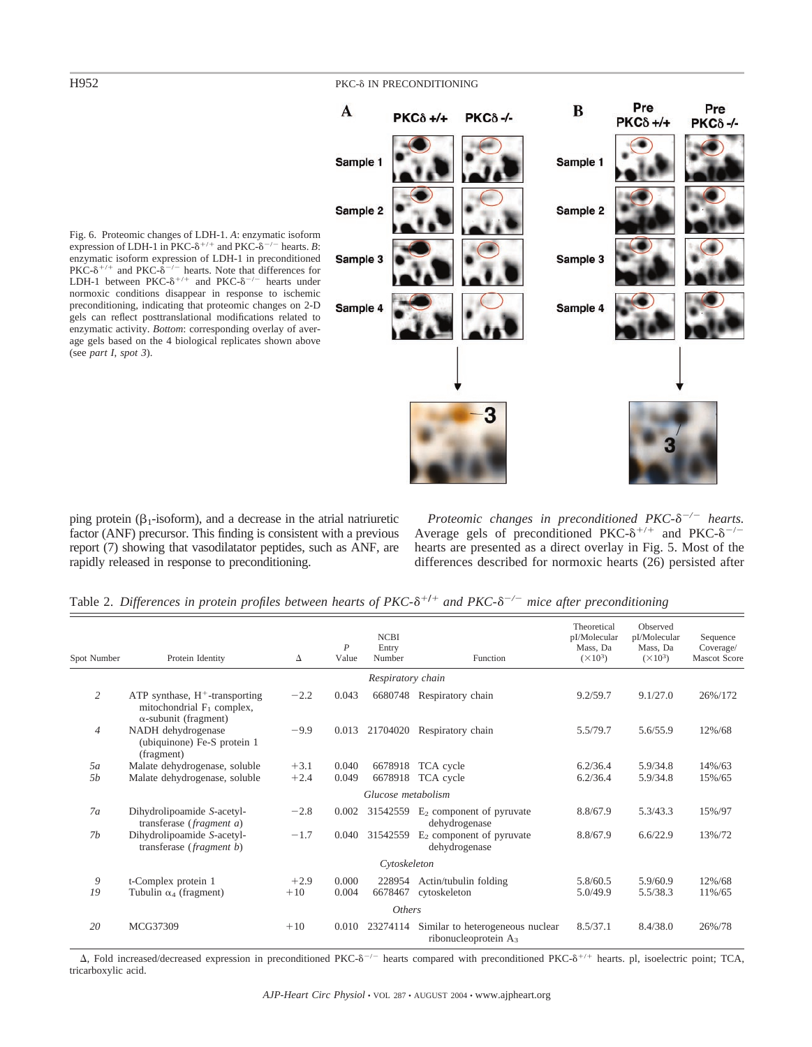# H952 PKC-8 IN PRECONDITIONING



Fig. 6. Proteomic changes of LDH-1. *A*: enzymatic isoform expression of LDH-1 in PKC- $\delta^{+/+}$  and PKC- $\delta^{-/-}$  hearts. *B*: enzymatic isoform expression of LDH-1 in preconditioned PKC- $\delta^{+/-}$  and PKC- $\delta^{-/-}$  hearts. Note that differences for LDH-1 between PKC- $\delta^{+/-}$  and PKC- $\delta^{-/-}$  hearts under normoxic conditions disappear in response to ischemic preconditioning, indicating that proteomic changes on 2-D gels can reflect posttranslational modifications related to enzymatic activity. *Bottom*: corresponding overlay of average gels based on the 4 biological replicates shown above (see *part I*, *spot 3*).

ping protein  $(\beta_1$ -isoform), and a decrease in the atrial natriuretic factor (ANF) precursor. This finding is consistent with a previous report (7) showing that vasodilatator peptides, such as ANF, are rapidly released in response to preconditioning.

Proteomic changes in preconditioned PKC- $\delta^{-/-}$  hearts. Average gels of preconditioned PKC- $\delta^{+/+}$  and PKC- $\delta^{-/-}$ hearts are presented as a direct overlay in Fig. 5. Most of the differences described for normoxic hearts (26) persisted after

|  |  |  |  |  |  |  |  | Table 2. Differences in protein profiles between hearts of PKC- $\delta^{+/+}$ and PKC- $\delta^{-/-}$ mice after preconditioning |
|--|--|--|--|--|--|--|--|-----------------------------------------------------------------------------------------------------------------------------------|
|--|--|--|--|--|--|--|--|-----------------------------------------------------------------------------------------------------------------------------------|

| Spot Number      | Protein Identity                                                                                  | Δ      | $\overline{P}$<br>Value | <b>NCBI</b><br>Entry<br>Number | Function                                                    | Theoretical<br>pI/Molecular<br>Mass, Da<br>$(\times 10^3)$ | Observed<br>pI/Molecular<br>Mass, Da<br>$(\times 10^3)$ | Sequence<br>Coverage/<br><b>Mascot Score</b> |
|------------------|---------------------------------------------------------------------------------------------------|--------|-------------------------|--------------------------------|-------------------------------------------------------------|------------------------------------------------------------|---------------------------------------------------------|----------------------------------------------|
|                  |                                                                                                   |        |                         | Respiratory chain              |                                                             |                                                            |                                                         |                                              |
| 2                | ATP synthase, $H^+$ -transporting<br>mitochondrial $F_1$ complex,<br>$\alpha$ -subunit (fragment) | $-2.2$ | 0.043                   | 6680748                        | Respiratory chain                                           | 9.2/59.7                                                   | 9.1/27.0                                                | 26%/172                                      |
| $\overline{4}$   | NADH dehydrogenase<br>(ubiquinone) Fe-S protein 1<br>(fragment)                                   | $-9.9$ | 0.013                   | 21704020                       | Respiratory chain                                           | 5.5/79.7                                                   | 5.6/55.9                                                | 12%/68                                       |
| 5a               | Malate dehydrogenase, soluble                                                                     | $+3.1$ | 0.040                   | 6678918                        | TCA cycle                                                   | 6.2/36.4                                                   | 5.9/34.8                                                | 14%/63                                       |
| <i><b>5b</b></i> | Malate dehydrogenase, soluble                                                                     | $+2.4$ | 0.049                   | 6678918                        | TCA cycle                                                   | 6.2/36.4                                                   | 5.9/34.8                                                | 15%/65                                       |
|                  |                                                                                                   |        |                         | Glucose metabolism             |                                                             |                                                            |                                                         |                                              |
| 7a               | Dihydrolipoamide S-acetyl-<br>transferase (fragment a)                                            | $-2.8$ | 0.002                   | 31542559                       | $E_2$ component of pyruvate<br>dehydrogenase                | 8.8/67.9                                                   | 5.3/43.3                                                | 15%/97                                       |
| 7b               | Dihydrolipoamide S-acetyl-<br>transferase (fragment b)                                            | $-1.7$ | 0.040                   | 31542559                       | $E_2$ component of pyruvate<br>dehydrogenase                | 8.8/67.9                                                   | 6.6/22.9                                                | 13%/72                                       |
|                  |                                                                                                   |        |                         | Cytoskeleton                   |                                                             |                                                            |                                                         |                                              |
| 9                | t-Complex protein 1                                                                               | $+2.9$ | 0.000                   | 228954                         | Actin/tubulin folding                                       | 5.8/60.5                                                   | 5.9/60.9                                                | 12%/68                                       |
| 19               | Tubulin $\alpha_4$ (fragment)                                                                     | $+10$  | 0.004                   | 6678467                        | cytoskeleton                                                | 5.0/49.9                                                   | 5.5/38.3                                                | 11%/65                                       |
|                  |                                                                                                   |        |                         | <b>Others</b>                  |                                                             |                                                            |                                                         |                                              |
| 20               | MCG37309                                                                                          | $+10$  | 0.010                   | 23274114                       | Similar to heterogeneous nuclear<br>ribonucleoprotein $A_3$ | 8.5/37.1                                                   | 8.4/38.0                                                | 26%/78                                       |

 $\Delta$ , Fold increased/decreased expression in preconditioned PKC- $\delta^{-/-}$  hearts compared with preconditioned PKC- $\delta^{+/-}$  hearts. pl, isoelectric point; TCA, tricarboxylic acid.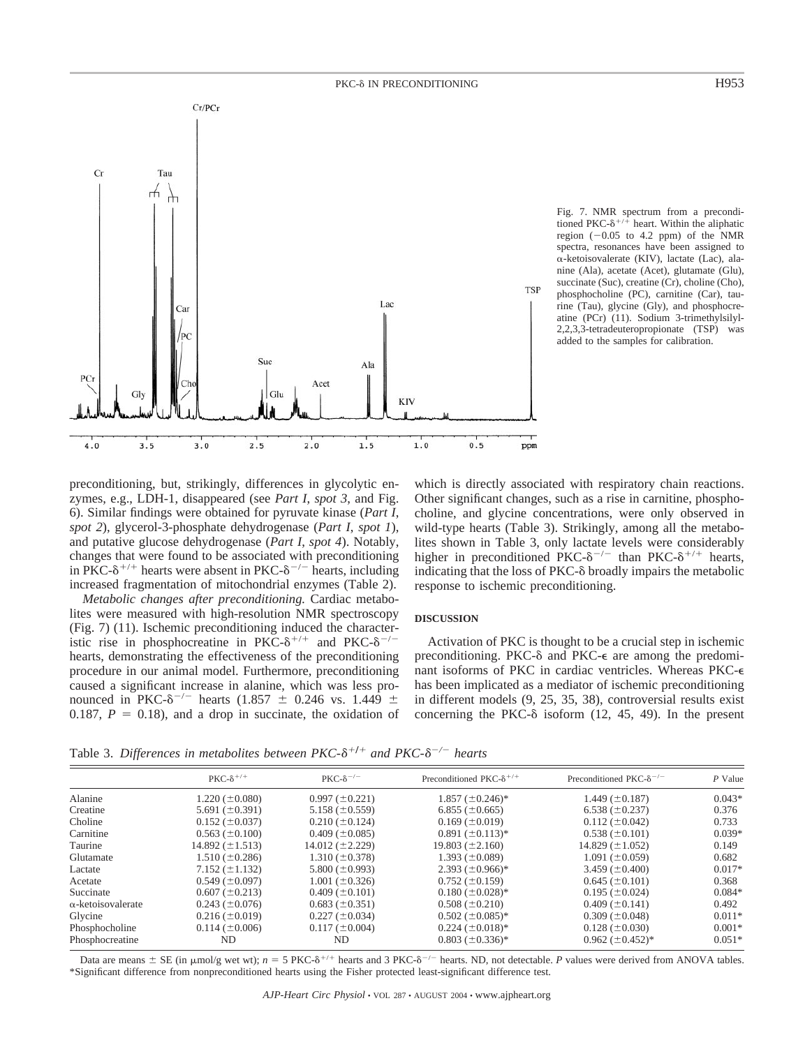



preconditioning, but, strikingly, differences in glycolytic enzymes, e.g., LDH-1, disappeared (see *Part I*, *spot 3*, and Fig. 6). Similar findings were obtained for pyruvate kinase (*Part I*, *spot 2*), glycerol-3-phosphate dehydrogenase (*Part I*, *spot 1*), and putative glucose dehydrogenase (*Part I*, *spot 4*). Notably, changes that were found to be associated with preconditioning in PKC- $\delta^{+/+}$  hearts were absent in PKC- $\delta^{-/-}$  hearts, including increased fragmentation of mitochondrial enzymes (Table 2).

*Metabolic changes after preconditioning.* Cardiac metabolites were measured with high-resolution NMR spectroscopy (Fig. 7) (11). Ischemic preconditioning induced the characteristic rise in phosphocreatine in PKC- $\delta^{+/+}$  and PKC- $\delta^{-/-}$ hearts, demonstrating the effectiveness of the preconditioning procedure in our animal model. Furthermore, preconditioning caused a significant increase in alanine, which was less pronounced in PKC- $\delta^{-/-}$  hearts (1.857  $\pm$  0.246 vs. 1.449  $\pm$ 0.187,  $P = 0.18$ ), and a drop in succinate, the oxidation of

which is directly associated with respiratory chain reactions. Other significant changes, such as a rise in carnitine, phosphocholine, and glycine concentrations, were only observed in wild-type hearts (Table 3). Strikingly, among all the metabolites shown in Table 3, only lactate levels were considerably higher in preconditioned PKC- $\delta^{-/-}$  than PKC- $\delta^{+/+}$  hearts, indicating that the loss of  $PKC-<sub>o</sub>$  broadly impairs the metabolic response to ischemic preconditioning.

### **DISCUSSION**

Activation of PKC is thought to be a crucial step in ischemic preconditioning. PKC- $\delta$  and PKC- $\epsilon$  are among the predominant isoforms of PKC in cardiac ventricles. Whereas PKC has been implicated as a mediator of ischemic preconditioning in different models (9, 25, 35, 38), controversial results exist concerning the PKC- $\delta$  isoform (12, 45, 49). In the present

Table 3. Differences in metabolites between  $PKC-\delta^{+/+}$  and  $PKC-\delta^{-/-}$  hearts

|                           | $PKC - \delta^{+/+}$             | $PKC-\delta$ <sup>-/-</sup> | Preconditioned PKC- $\delta^{+/+}$ | Preconditioned PKC- $\delta^{-/-}$ | P Value  |
|---------------------------|----------------------------------|-----------------------------|------------------------------------|------------------------------------|----------|
| Alanine                   | $1.220 (\pm 0.080)$              | $0.997 (\pm 0.221)$         | $1.857 \ (\pm 0.246)^*$            | $1.449 \ (\pm 0.187)$              | $0.043*$ |
| Creatine                  | 5.691 $(\pm 0.391)$              | $5.158 (\pm 0.559)$         | $6.855 (\pm 0.665)$                | $6.538 (\pm 0.237)$                | 0.376    |
| Choline                   | $0.152 (\pm 0.037)$              | $0.210 (\pm 0.124)$         | $0.169 \ (\pm 0.019)$              | $0.112 (\pm 0.042)$                | 0.733    |
| Carnitine                 | $0.563$ ( $\pm 0.100$ )          | $0.409 \ (\pm 0.085)$       | $0.891 \ (\pm 0.113)^*$            | $0.538 (\pm 0.101)$                | $0.039*$ |
| Taurine                   | 14.892 $(\pm 1.513)$             | 14.012 $(\pm 2.229)$        | $19.803 (\pm 2.160)$               | 14.829 $(\pm 1.052)$               | 0.149    |
| Glutamate                 | $1.510 (\pm 0.286)$              | $1.310 (\pm 0.378)$         | 1.393 $(\pm 0.089)$                | $1.091 (\pm 0.059)$                | 0.682    |
| Lactate                   | $7.152 (\pm 1.132)$              | 5.800 $(\pm 0.993)$         | $2.393 \ (\pm 0.966)^*$            | 3.459 $(\pm 0.400)$                | $0.017*$ |
| Acetate                   | $0.549 \left( \pm 0.097 \right)$ | $1.001 (\pm 0.326)$         | $0.752 (\pm 0.159)$                | $0.645 (\pm 0.101)$                | 0.368    |
| Succinate                 | $0.607 (\pm 0.213)$              | $0.409 \ (\pm 0.101)$       | $0.180 \ (\pm 0.028)^*$            | $0.195 (\pm 0.024)$                | $0.084*$ |
| $\alpha$ -ketoisovalerate | $0.243 (\pm 0.076)$              | $0.683 (\pm 0.351)$         | $0.508 (\pm 0.210)$                | $0.409 \left( \pm 0.141 \right)$   | 0.492    |
| Glycine                   | $0.216 (\pm 0.019)$              | $0.227 (\pm 0.034)$         | $0.502 \ (\pm 0.085)^*$            | $0.309 (\pm 0.048)$                | $0.011*$ |
| Phosphocholine            | $0.114 (\pm 0.006)$              | $0.117 (\pm 0.004)$         | $0.224 \ (\pm 0.018)^*$            | $0.128 (\pm 0.030)$                | $0.001*$ |
| Phosphocreatine           | ND                               | ND                          | $0.803 \ (\pm 0.336)^*$            | $0.962 \ (\pm 0.452)^*$            | $0.051*$ |

Data are means  $\pm$  SE (in  $\mu$ mol/g wet wt);  $n = 5$  PKC- $\delta^{+/+}$  hearts and 3 PKC- $\delta^{-/-}$  hearts. ND, not detectable. *P* values were derived from ANOVA tables. \*Significant difference from nonpreconditioned hearts using the Fisher protected least-significant difference test.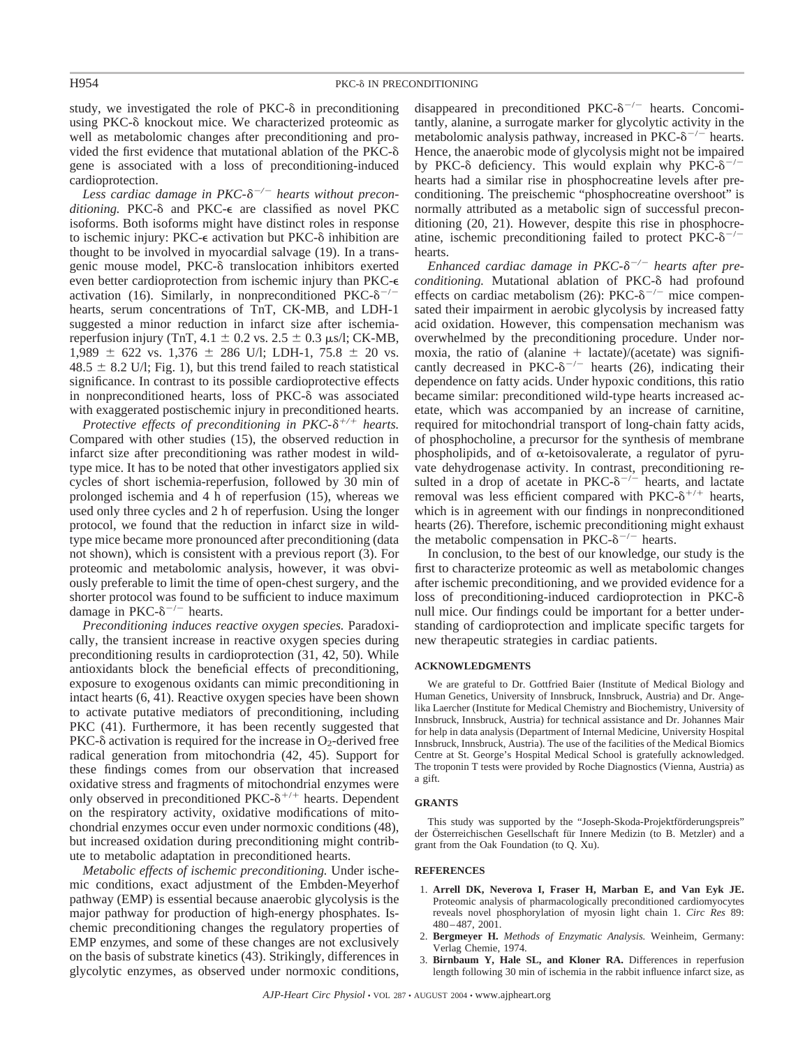study, we investigated the role of  $PKC-\delta$  in preconditioning using PKC- $\delta$  knockout mice. We characterized proteomic as well as metabolomic changes after preconditioning and provided the first evidence that mutational ablation of the PKC gene is associated with a loss of preconditioning-induced cardioprotection.

Less cardiac damage in PKC- $\delta^{-/-}$  hearts without preconditioning. PKC- $\delta$  and PKC- $\epsilon$  are classified as novel PKC isoforms. Both isoforms might have distinct roles in response to ischemic injury: PKC- $\epsilon$  activation but PKC- $\delta$  inhibition are thought to be involved in myocardial salvage (19). In a transgenic mouse model, PKC- $\delta$  translocation inhibitors exerted even better cardioprotection from ischemic injury than PKC activation (16). Similarly, in nonpreconditioned PKC- $\delta^{-/-}$ hearts, serum concentrations of TnT, CK-MB, and LDH-1 suggested a minor reduction in infarct size after ischemiareperfusion injury (TnT,  $4.1 \pm 0.2$  vs.  $2.5 \pm 0.3$   $\mu$ s/l; CK-MB, 1,989  $\pm$  622 vs. 1,376  $\pm$  286 U/l; LDH-1, 75.8  $\pm$  20 vs.  $48.5 \pm 8.2$  U/l; Fig. 1), but this trend failed to reach statistical significance. In contrast to its possible cardioprotective effects in nonpreconditioned hearts, loss of  $PKC-\delta$  was associated with exaggerated postischemic injury in preconditioned hearts.

*Protective effects of preconditioning in PKC-* $\delta^{+/+}$  *hearts.* Compared with other studies (15), the observed reduction in infarct size after preconditioning was rather modest in wildtype mice. It has to be noted that other investigators applied six cycles of short ischemia-reperfusion, followed by 30 min of prolonged ischemia and 4 h of reperfusion (15), whereas we used only three cycles and 2 h of reperfusion. Using the longer protocol, we found that the reduction in infarct size in wildtype mice became more pronounced after preconditioning (data not shown), which is consistent with a previous report (3). For proteomic and metabolomic analysis, however, it was obviously preferable to limit the time of open-chest surgery, and the shorter protocol was found to be sufficient to induce maximum damage in PKC- $\delta^{-/-}$  hearts.

*Preconditioning induces reactive oxygen species.* Paradoxically, the transient increase in reactive oxygen species during preconditioning results in cardioprotection (31, 42, 50). While antioxidants block the beneficial effects of preconditioning, exposure to exogenous oxidants can mimic preconditioning in intact hearts (6, 41). Reactive oxygen species have been shown to activate putative mediators of preconditioning, including PKC (41). Furthermore, it has been recently suggested that PKC- $\delta$  activation is required for the increase in O<sub>2</sub>-derived free radical generation from mitochondria (42, 45). Support for these findings comes from our observation that increased oxidative stress and fragments of mitochondrial enzymes were only observed in preconditioned PKC- $\delta^{+/+}$  hearts. Dependent on the respiratory activity, oxidative modifications of mitochondrial enzymes occur even under normoxic conditions (48), but increased oxidation during preconditioning might contribute to metabolic adaptation in preconditioned hearts.

*Metabolic effects of ischemic preconditioning.* Under ischemic conditions, exact adjustment of the Embden-Meyerhof pathway (EMP) is essential because anaerobic glycolysis is the major pathway for production of high-energy phosphates. Ischemic preconditioning changes the regulatory properties of EMP enzymes, and some of these changes are not exclusively on the basis of substrate kinetics (43). Strikingly, differences in glycolytic enzymes, as observed under normoxic conditions,

disappeared in preconditioned PKC- $\delta^{-/-}$  hearts. Concomitantly, alanine, a surrogate marker for glycolytic activity in the metabolomic analysis pathway, increased in PKC- $\delta^{-/-}$  hearts. Hence, the anaerobic mode of glycolysis might not be impaired by PKC- $\delta$  deficiency. This would explain why PKC- $\delta^{-/-}$ hearts had a similar rise in phosphocreatine levels after preconditioning. The preischemic "phosphocreatine overshoot" is normally attributed as a metabolic sign of successful preconditioning (20, 21). However, despite this rise in phosphocreatine, ischemic preconditioning failed to protect  $PKC-\delta^{-/-}$ hearts.

Enhanced cardiac damage in PKC- $\delta^{-/-}$  hearts after pre*conditioning.* Mutational ablation of PKC- $\delta$  had profound effects on cardiac metabolism (26): PKC- $\delta^{-/-}$  mice compensated their impairment in aerobic glycolysis by increased fatty acid oxidation. However, this compensation mechanism was overwhelmed by the preconditioning procedure. Under normoxia, the ratio of (alanine  $+$  lactate)/(acetate) was significantly decreased in PKC- $\delta^{-/-}$  hearts (26), indicating their dependence on fatty acids. Under hypoxic conditions, this ratio became similar: preconditioned wild-type hearts increased acetate, which was accompanied by an increase of carnitine, required for mitochondrial transport of long-chain fatty acids, of phosphocholine, a precursor for the synthesis of membrane phospholipids, and of  $\alpha$ -ketoisovalerate, a regulator of pyruvate dehydrogenase activity. In contrast, preconditioning resulted in a drop of acetate in PKC- $\delta^{-/-}$  hearts, and lactate removal was less efficient compared with PKC- $\delta^{+/+}$  hearts, which is in agreement with our findings in nonpreconditioned hearts (26). Therefore, ischemic preconditioning might exhaust the metabolic compensation in  $\text{PKC-}\delta^{-/-}$  hearts.

In conclusion, to the best of our knowledge, our study is the first to characterize proteomic as well as metabolomic changes after ischemic preconditioning, and we provided evidence for a loss of preconditioning-induced cardioprotection in PKC null mice. Our findings could be important for a better understanding of cardioprotection and implicate specific targets for new therapeutic strategies in cardiac patients.

#### **ACKNOWLEDGMENTS**

We are grateful to Dr. Gottfried Baier (Institute of Medical Biology and Human Genetics, University of Innsbruck, Innsbruck, Austria) and Dr. Angelika Laercher (Institute for Medical Chemistry and Biochemistry, University of Innsbruck, Innsbruck, Austria) for technical assistance and Dr. Johannes Mair for help in data analysis (Department of Internal Medicine, University Hospital Innsbruck, Innsbruck, Austria). The use of the facilities of the Medical Biomics Centre at St. George's Hospital Medical School is gratefully acknowledged. The troponin T tests were provided by Roche Diagnostics (Vienna, Austria) as a gift.

#### **GRANTS**

This study was supported by the "Joseph-Skoda-Projektförderungspreis" der Österreichischen Gesellschaft für Innere Medizin (to B. Metzler) and a grant from the Oak Foundation (to Q. Xu).

### **REFERENCES**

- 1. **Arrell DK, Neverova I, Fraser H, Marban E, and Van Eyk JE.** Proteomic analysis of pharmacologically preconditioned cardiomyocytes reveals novel phosphorylation of myosin light chain 1. *Circ Res* 89: 480–487, 2001.
- 2. **Bergmeyer H.** *Methods of Enzymatic Analysis.* Weinheim, Germany: Verlag Chemie, 1974.
- 3. **Birnbaum Y, Hale SL, and Kloner RA.** Differences in reperfusion length following 30 min of ischemia in the rabbit influence infarct size, as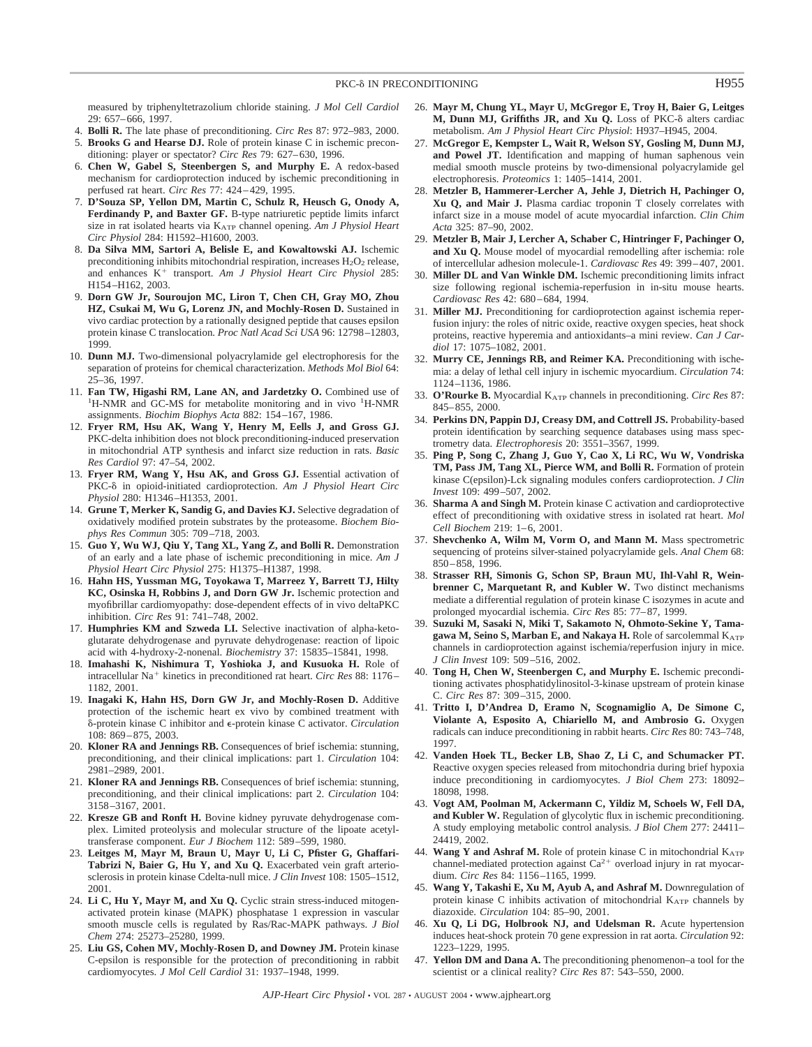measured by triphenyltetrazolium chloride staining. *J Mol Cell Cardiol* 29: 657–666, 1997.

- 4. **Bolli R.** The late phase of preconditioning. *Circ Res* 87: 972–983, 2000.
- 5. **Brooks G and Hearse DJ.** Role of protein kinase C in ischemic preconditioning: player or spectator? *Circ Res* 79: 627–630, 1996.
- 6. **Chen W, Gabel S, Steenbergen S, and Murphy E.** A redox-based mechanism for cardioprotection induced by ischemic preconditioning in perfused rat heart. *Circ Res* 77: 424–429, 1995.
- 7. **D'Souza SP, Yellon DM, Martin C, Schulz R, Heusch G, Onody A, Ferdinandy P, and Baxter GF.** B-type natriuretic peptide limits infarct size in rat isolated hearts via KATP channel opening. *Am J Physiol Heart Circ Physiol* 284: H1592–H1600, 2003.
- 8. **Da Silva MM, Sartori A, Belisle E, and Kowaltowski AJ.** Ischemic preconditioning inhibits mitochondrial respiration, increases  $H_2O_2$  release, and enhances K<sup>+</sup> transport. Am J Physiol Heart Circ Physiol 285: H154–H162, 2003.
- 9. **Dorn GW Jr, Souroujon MC, Liron T, Chen CH, Gray MO, Zhou HZ, Csukai M, Wu G, Lorenz JN, and Mochly-Rosen D.** Sustained in vivo cardiac protection by a rationally designed peptide that causes epsilon protein kinase C translocation. *Proc Natl Acad Sci USA* 96: 12798–12803, 1999.
- 10. **Dunn MJ.** Two-dimensional polyacrylamide gel electrophoresis for the separation of proteins for chemical characterization. *Methods Mol Biol* 64: 25–36, 1997.
- 11. **Fan TW, Higashi RM, Lane AN, and Jardetzky O.** Combined use of <sup>1</sup> H-NMR and GC-MS for metabolite monitoring and in vivo <sup>1</sup>H-NMR assignments. *Biochim Biophys Acta* 882: 154–167, 1986.
- 12. **Fryer RM, Hsu AK, Wang Y, Henry M, Eells J, and Gross GJ.** PKC-delta inhibition does not block preconditioning-induced preservation in mitochondrial ATP synthesis and infarct size reduction in rats. *Basic Res Cardiol* 97: 47–54, 2002.
- 13. **Fryer RM, Wang Y, Hsu AK, and Gross GJ.** Essential activation of PKC- $\delta$  in opioid-initiated cardioprotection. Am J Physiol Heart Circ *Physiol* 280: H1346–H1353, 2001.
- 14. **Grune T, Merker K, Sandig G, and Davies KJ.** Selective degradation of oxidatively modified protein substrates by the proteasome. *Biochem Biophys Res Commun* 305: 709–718, 2003.
- 15. **Guo Y, Wu WJ, Qiu Y, Tang XL, Yang Z, and Bolli R.** Demonstration of an early and a late phase of ischemic preconditioning in mice. *Am J Physiol Heart Circ Physiol* 275: H1375–H1387, 1998.
- 16. **Hahn HS, Yussman MG, Toyokawa T, Marreez Y, Barrett TJ, Hilty KC, Osinska H, Robbins J, and Dorn GW Jr.** Ischemic protection and myofibrillar cardiomyopathy: dose-dependent effects of in vivo deltaPKC inhibition. *Circ Res* 91: 741–748, 2002.
- 17. **Humphries KM and Szweda LI.** Selective inactivation of alpha-ketoglutarate dehydrogenase and pyruvate dehydrogenase: reaction of lipoic acid with 4-hydroxy-2-nonenal. *Biochemistry* 37: 15835–15841, 1998.
- 18. **Imahashi K, Nishimura T, Yoshioka J, and Kusuoka H.** Role of intracellular Na<sup>+</sup> kinetics in preconditioned rat heart. *Circ Res* 88: 1176– 1182, 2001.
- 19. **Inagaki K, Hahn HS, Dorn GW Jr, and Mochly-Rosen D.** Additive protection of the ischemic heart ex vivo by combined treatment with δ-protein kinase C inhibitor and e-protein kinase C activator. *Circulation* 108: 869–875, 2003.
- 20. **Kloner RA and Jennings RB.** Consequences of brief ischemia: stunning, preconditioning, and their clinical implications: part 1. *Circulation* 104: 2981–2989, 2001.
- 21. **Kloner RA and Jennings RB.** Consequences of brief ischemia: stunning, preconditioning, and their clinical implications: part 2. *Circulation* 104: 3158–3167, 2001.
- 22. **Kresze GB and Ronft H.** Bovine kidney pyruvate dehydrogenase complex. Limited proteolysis and molecular structure of the lipoate acetyltransferase component. *Eur J Biochem* 112: 589–599, 1980.
- 23. **Leitges M, Mayr M, Braun U, Mayr U, Li C, Pfister G, Ghaffari-Tabrizi N, Baier G, Hu Y, and Xu Q.** Exacerbated vein graft arteriosclerosis in protein kinase Cdelta-null mice. *J Clin Invest* 108: 1505–1512, 2001.
- 24. **Li C, Hu Y, Mayr M, and Xu Q.** Cyclic strain stress-induced mitogenactivated protein kinase (MAPK) phosphatase 1 expression in vascular smooth muscle cells is regulated by Ras/Rac-MAPK pathways. *J Biol Chem* 274: 25273–25280, 1999.
- 25. **Liu GS, Cohen MV, Mochly-Rosen D, and Downey JM.** Protein kinase C-epsilon is responsible for the protection of preconditioning in rabbit cardiomyocytes. *J Mol Cell Cardiol* 31: 1937–1948, 1999.
- 26. **Mayr M, Chung YL, Mayr U, McGregor E, Troy H, Baier G, Leitges** M, Dunn MJ, Griffiths JR, and Xu Q. Loss of PKC-8 alters cardiac metabolism. *Am J Physiol Heart Circ Physiol*: H937–H945, 2004.
- 27. **McGregor E, Kempster L, Wait R, Welson SY, Gosling M, Dunn MJ, and Powel JT.** Identification and mapping of human saphenous vein medial smooth muscle proteins by two-dimensional polyacrylamide gel electrophoresis. *Proteomics* 1: 1405–1414, 2001.
- 28. **Metzler B, Hammerer-Lercher A, Jehle J, Dietrich H, Pachinger O, Xu Q, and Mair J.** Plasma cardiac troponin T closely correlates with infarct size in a mouse model of acute myocardial infarction. *Clin Chim Acta* 325: 87–90, 2002.
- 29. **Metzler B, Mair J, Lercher A, Schaber C, Hintringer F, Pachinger O, and Xu Q.** Mouse model of myocardial remodelling after ischemia: role of intercellular adhesion molecule-1. *Cardiovasc Res* 49: 399–407, 2001.
- 30. **Miller DL and Van Winkle DM.** Ischemic preconditioning limits infract size following regional ischemia-reperfusion in in-situ mouse hearts. *Cardiovasc Res* 42: 680–684, 1994.
- 31. **Miller MJ.** Preconditioning for cardioprotection against ischemia reperfusion injury: the roles of nitric oxide, reactive oxygen species, heat shock proteins, reactive hyperemia and antioxidants–a mini review. *Can J Cardiol* 17: 1075–1082, 2001.
- 32. **Murry CE, Jennings RB, and Reimer KA.** Preconditioning with ischemia: a delay of lethal cell injury in ischemic myocardium. *Circulation* 74: 1124–1136, 1986.
- 33. **O'Rourke B.** Myocardial KATP channels in preconditioning. *Circ Res* 87: 845–855, 2000.
- 34. **Perkins DN, Pappin DJ, Creasy DM, and Cottrell JS.** Probability-based protein identification by searching sequence databases using mass spectrometry data. *Electrophoresis* 20: 3551–3567, 1999.
- 35. **Ping P, Song C, Zhang J, Guo Y, Cao X, Li RC, Wu W, Vondriska TM, Pass JM, Tang XL, Pierce WM, and Bolli R.** Formation of protein kinase C(epsilon)-Lck signaling modules confers cardioprotection. *J Clin Invest* 109: 499–507, 2002.
- 36. **Sharma A and Singh M.** Protein kinase C activation and cardioprotective effect of preconditioning with oxidative stress in isolated rat heart. *Mol Cell Biochem* 219: 1–6, 2001.
- 37. **Shevchenko A, Wilm M, Vorm O, and Mann M.** Mass spectrometric sequencing of proteins silver-stained polyacrylamide gels. *Anal Chem* 68: 850–858, 1996.
- 38. **Strasser RH, Simonis G, Schon SP, Braun MU, Ihl-Vahl R, Weinbrenner C, Marquetant R, and Kubler W.** Two distinct mechanisms mediate a differential regulation of protein kinase C isozymes in acute and prolonged myocardial ischemia. *Circ Res* 85: 77–87, 1999.
- 39. **Suzuki M, Sasaki N, Miki T, Sakamoto N, Ohmoto-Sekine Y, Tama**gawa M, Seino S, Marban E, and Nakaya H. Role of sarcolemmal KATP channels in cardioprotection against ischemia/reperfusion injury in mice. *J Clin Invest* 109: 509–516, 2002.
- 40. **Tong H, Chen W, Steenbergen C, and Murphy E.** Ischemic preconditioning activates phosphatidylinositol-3-kinase upstream of protein kinase C. *Circ Res* 87: 309–315, 2000.
- 41. **Tritto I, D'Andrea D, Eramo N, Scognamiglio A, De Simone C, Violante A, Esposito A, Chiariello M, and Ambrosio G.** Oxygen radicals can induce preconditioning in rabbit hearts. *Circ Res* 80: 743–748, 1997.
- 42. **Vanden Hoek TL, Becker LB, Shao Z, Li C, and Schumacker PT.** Reactive oxygen species released from mitochondria during brief hypoxia induce preconditioning in cardiomyocytes. *J Biol Chem* 273: 18092– 18098, 1998.
- 43. **Vogt AM, Poolman M, Ackermann C, Yildiz M, Schoels W, Fell DA, and Kubler W.** Regulation of glycolytic flux in ischemic preconditioning. A study employing metabolic control analysis. *J Biol Chem* 277: 24411– 24419, 2002.
- 44. Wang Y and Ashraf M. Role of protein kinase C in mitochondrial KATP channel-mediated protection against  $Ca^{2+}$  overload injury in rat myocardium. *Circ Res* 84: 1156–1165, 1999.
- 45. **Wang Y, Takashi E, Xu M, Ayub A, and Ashraf M.** Downregulation of protein kinase C inhibits activation of mitochondrial KATP channels by diazoxide. *Circulation* 104: 85–90, 2001.
- 46. **Xu Q, Li DG, Holbrook NJ, and Udelsman R.** Acute hypertension induces heat-shock protein 70 gene expression in rat aorta. *Circulation* 92: 1223–1229, 1995.
- 47. **Yellon DM and Dana A.** The preconditioning phenomenon–a tool for the scientist or a clinical reality? *Circ Res* 87: 543–550, 2000.